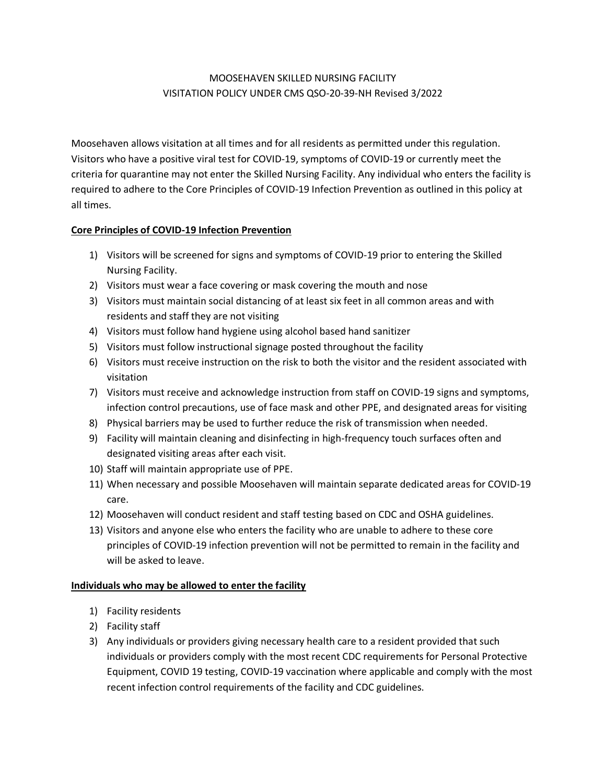# MOOSEHAVEN SKILLED NURSING FACILITY VISITATION POLICY UNDER CMS QSO-20-39-NH Revised 3/2022

Moosehaven allows visitation at all times and for all residents as permitted under this regulation. Visitors who have a positive viral test for COVID-19, symptoms of COVID-19 or currently meet the criteria for quarantine may not enter the Skilled Nursing Facility. Any individual who enters the facility is required to adhere to the Core Principles of COVID-19 Infection Prevention as outlined in this policy at all times.

# **Core Principles of COVID-19 Infection Prevention**

- 1) Visitors will be screened for signs and symptoms of COVID-19 prior to entering the Skilled Nursing Facility.
- 2) Visitors must wear a face covering or mask covering the mouth and nose
- 3) Visitors must maintain social distancing of at least six feet in all common areas and with residents and staff they are not visiting
- 4) Visitors must follow hand hygiene using alcohol based hand sanitizer
- 5) Visitors must follow instructional signage posted throughout the facility
- 6) Visitors must receive instruction on the risk to both the visitor and the resident associated with visitation
- 7) Visitors must receive and acknowledge instruction from staff on COVID-19 signs and symptoms, infection control precautions, use of face mask and other PPE, and designated areas for visiting
- 8) Physical barriers may be used to further reduce the risk of transmission when needed.
- 9) Facility will maintain cleaning and disinfecting in high-frequency touch surfaces often and designated visiting areas after each visit.
- 10) Staff will maintain appropriate use of PPE.
- 11) When necessary and possible Moosehaven will maintain separate dedicated areas for COVID-19 care.
- 12) Moosehaven will conduct resident and staff testing based on CDC and OSHA guidelines.
- 13) Visitors and anyone else who enters the facility who are unable to adhere to these core principles of COVID-19 infection prevention will not be permitted to remain in the facility and will be asked to leave.

# **Individuals who may be allowed to enter the facility**

- 1) Facility residents
- 2) Facility staff
- 3) Any individuals or providers giving necessary health care to a resident provided that such individuals or providers comply with the most recent CDC requirements for Personal Protective Equipment, COVID 19 testing, COVID-19 vaccination where applicable and comply with the most recent infection control requirements of the facility and CDC guidelines.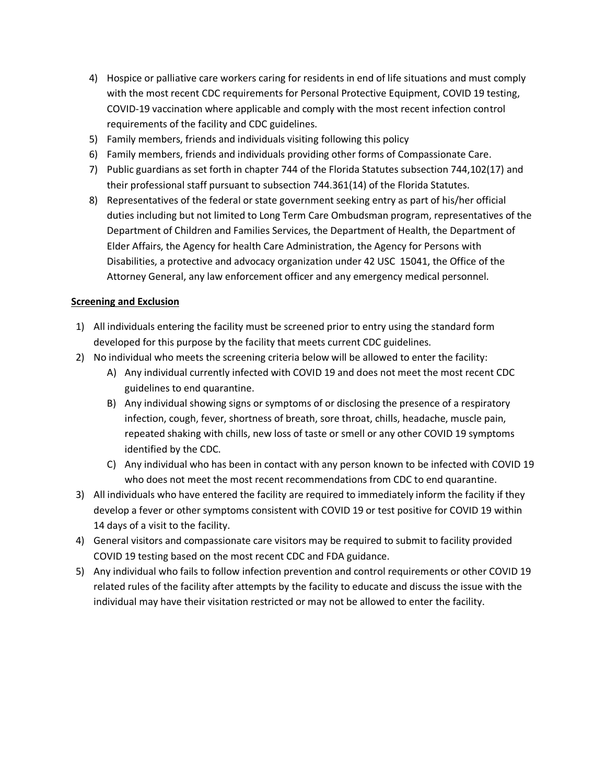- 4) Hospice or palliative care workers caring for residents in end of life situations and must comply with the most recent CDC requirements for Personal Protective Equipment, COVID 19 testing, COVID-19 vaccination where applicable and comply with the most recent infection control requirements of the facility and CDC guidelines.
- 5) Family members, friends and individuals visiting following this policy
- 6) Family members, friends and individuals providing other forms of Compassionate Care.
- 7) Public guardians as set forth in chapter 744 of the Florida Statutes subsection 744,102(17) and their professional staff pursuant to subsection 744.361(14) of the Florida Statutes.
- 8) Representatives of the federal or state government seeking entry as part of his/her official duties including but not limited to Long Term Care Ombudsman program, representatives of the Department of Children and Families Services, the Department of Health, the Department of Elder Affairs, the Agency for health Care Administration, the Agency for Persons with Disabilities, a protective and advocacy organization under 42 USC 15041, the Office of the Attorney General, any law enforcement officer and any emergency medical personnel.

### **Screening and Exclusion**

- 1) All individuals entering the facility must be screened prior to entry using the standard form developed for this purpose by the facility that meets current CDC guidelines.
- 2) No individual who meets the screening criteria below will be allowed to enter the facility:
	- A) Any individual currently infected with COVID 19 and does not meet the most recent CDC guidelines to end quarantine.
	- B) Any individual showing signs or symptoms of or disclosing the presence of a respiratory infection, cough, fever, shortness of breath, sore throat, chills, headache, muscle pain, repeated shaking with chills, new loss of taste or smell or any other COVID 19 symptoms identified by the CDC.
	- C) Any individual who has been in contact with any person known to be infected with COVID 19 who does not meet the most recent recommendations from CDC to end quarantine.
- 3) All individuals who have entered the facility are required to immediately inform the facility if they develop a fever or other symptoms consistent with COVID 19 or test positive for COVID 19 within 14 days of a visit to the facility.
- 4) General visitors and compassionate care visitors may be required to submit to facility provided COVID 19 testing based on the most recent CDC and FDA guidance.
- 5) Any individual who fails to follow infection prevention and control requirements or other COVID 19 related rules of the facility after attempts by the facility to educate and discuss the issue with the individual may have their visitation restricted or may not be allowed to enter the facility.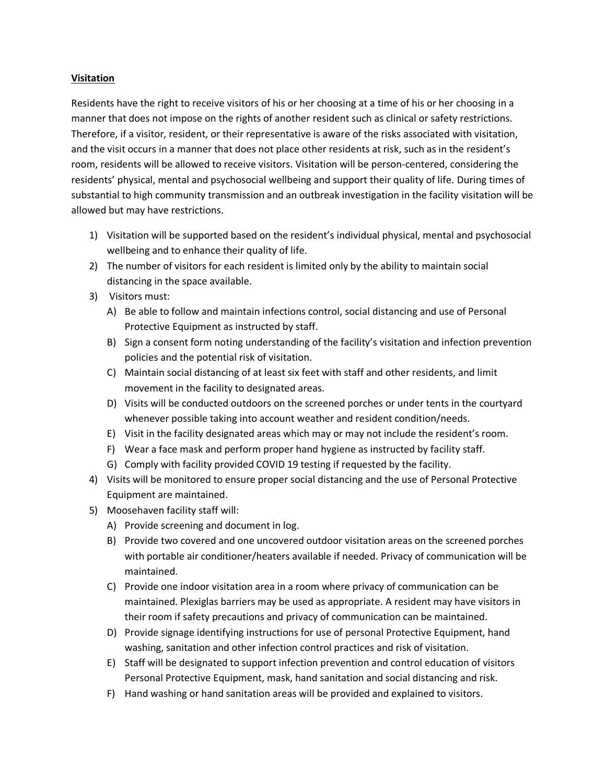#### **Visitation**

Residents have the right to receive visitors of his or her choosing at a time of his or her choosing in a manner that does not impose on the rights of another resident such as clinical or safety restrictions. Therefore, if a visitor, resident, or their representative is aware of the risks associated with visitation, and the visit occurs in a manner that does not place other residents at risk, such as in the resident's room, residents will be allowed to receive visitors. Visitation will be person-centered, considering the residents' physical, mental and psychosocial wellbeing and support their quality of life. During times of substantial to high community transmission and an outbreak investigation in the facility visitation will be allowed but may have restrictions.

- 1) Visitation will be supported based on the resident's individual physical, mental and psychosocial wellbeing and to enhance their quality of life.
- 2) The number of visitors for each resident is limited only by the ability to maintain social distancing in the space available.
- 3) Visitors must:
	- A) Be able to follow and maintain infections control, social distancing and use of Personal Protective Equipment as instructed by staff.
	- B) Sign a consent form noting understanding of the facility's visitation and infection prevention policies and the potential risk of visitation.
	- C) Maintain social distancing of at least six feet with staff and other residents, and limit movement in the facility to designated areas.
	- D) Visits will be conducted outdoors on the screened porches or under tents in the courtyard whenever possible taking into account weather and resident condition/needs.
	- E) Visit in the facility designated areas which may or may not include the resident's room.
	- F) Wear a face mask and perform proper hand hygiene as instructed by facility staff.
	- G) Comply with facility provided COVID 19 testing if requested by the facility.
- 4) Visits will be monitored to ensure proper social distancing and the use of Personal Protective Equipment are maintained.
- 5) Moosehaven facility staff will:
	- A) Provide screening and document in log.
	- B) Provide two covered and one uncovered outdoor visitation areas on the screened porches with portable air conditioner/heaters available if needed. Privacy of communication will be maintained.
	- C) Provide one indoor visitation area in a room where privacy of communication can be maintained. Plexiglas barriers may be used as appropriate. A resident may have visitors in their room if safety precautions and privacy of communication can be maintained.
	- D) Provide signage identifying instructions for use of personal Protective Equipment, hand washing, sanitation and other infection control practices and risk of visitation.
	- E) Staff will be designated to support infection prevention and control education of visitors Personal Protective Equipment, mask, hand sanitation and social distancing and risk.
	- F) Hand washing or hand sanitation areas will be provided and explained to visitors.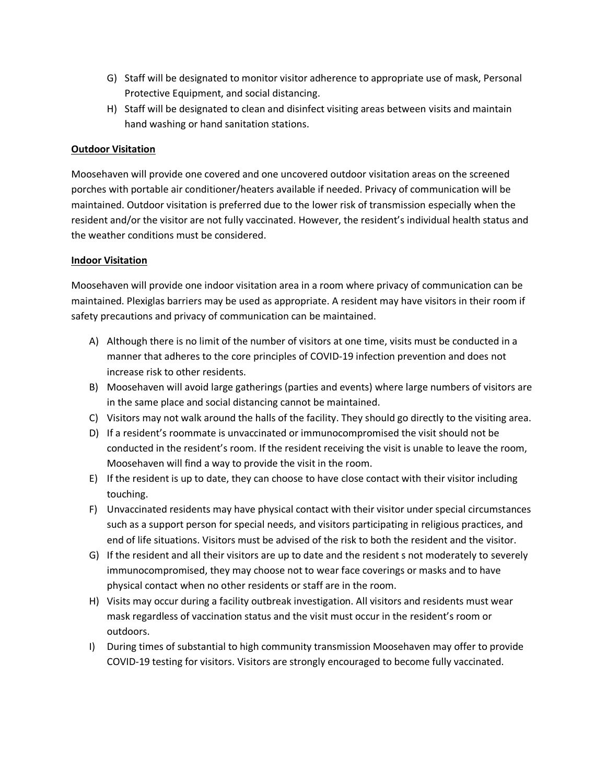- G) Staff will be designated to monitor visitor adherence to appropriate use of mask, Personal Protective Equipment, and social distancing.
- H) Staff will be designated to clean and disinfect visiting areas between visits and maintain hand washing or hand sanitation stations.

# **Outdoor Visitation**

Moosehaven will provide one covered and one uncovered outdoor visitation areas on the screened porches with portable air conditioner/heaters available if needed. Privacy of communication will be maintained. Outdoor visitation is preferred due to the lower risk of transmission especially when the resident and/or the visitor are not fully vaccinated. However, the resident's individual health status and the weather conditions must be considered.

### **Indoor Visitation**

Moosehaven will provide one indoor visitation area in a room where privacy of communication can be maintained. Plexiglas barriers may be used as appropriate. A resident may have visitors in their room if safety precautions and privacy of communication can be maintained.

- A) Although there is no limit of the number of visitors at one time, visits must be conducted in a manner that adheres to the core principles of COVID-19 infection prevention and does not increase risk to other residents.
- B) Moosehaven will avoid large gatherings (parties and events) where large numbers of visitors are in the same place and social distancing cannot be maintained.
- C) Visitors may not walk around the halls of the facility. They should go directly to the visiting area.
- D) If a resident's roommate is unvaccinated or immunocompromised the visit should not be conducted in the resident's room. If the resident receiving the visit is unable to leave the room, Moosehaven will find a way to provide the visit in the room.
- E) If the resident is up to date, they can choose to have close contact with their visitor including touching.
- F) Unvaccinated residents may have physical contact with their visitor under special circumstances such as a support person for special needs, and visitors participating in religious practices, and end of life situations. Visitors must be advised of the risk to both the resident and the visitor.
- G) If the resident and all their visitors are up to date and the resident s not moderately to severely immunocompromised, they may choose not to wear face coverings or masks and to have physical contact when no other residents or staff are in the room.
- H) Visits may occur during a facility outbreak investigation. All visitors and residents must wear mask regardless of vaccination status and the visit must occur in the resident's room or outdoors.
- I) During times of substantial to high community transmission Moosehaven may offer to provide COVID-19 testing for visitors. Visitors are strongly encouraged to become fully vaccinated.